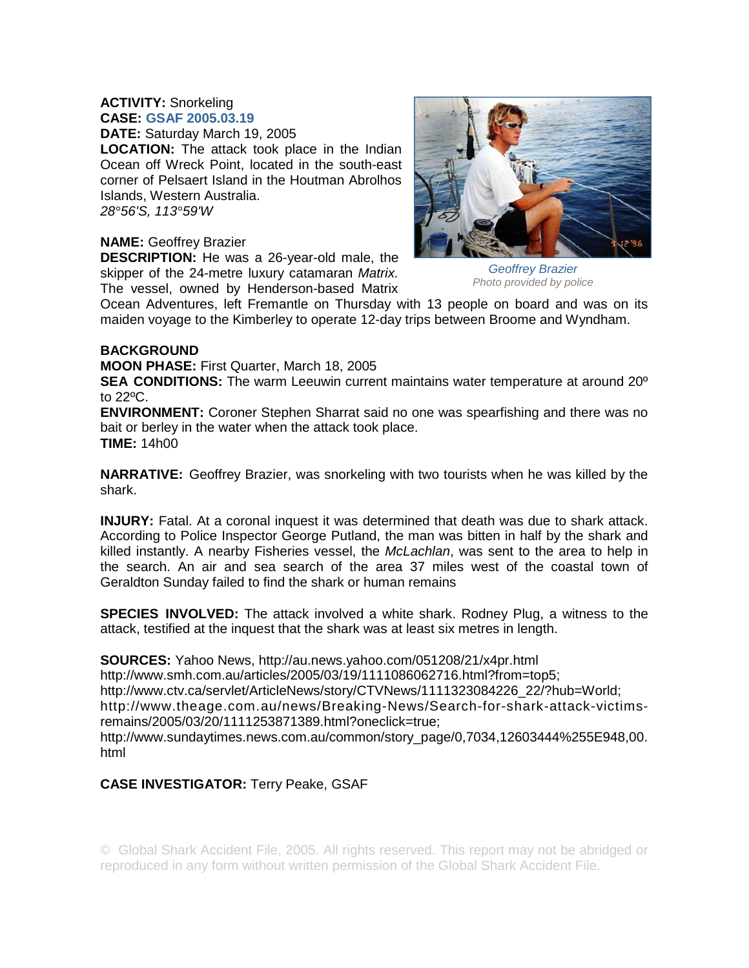## **ACTIVITY:** Snorkeling **CASE: GSAF 2005.03.19**

**DATE:** Saturday March 19, 2005

**LOCATION:** The attack took place in the Indian Ocean off Wreck Point, located in the south-east corner of Pelsaert Island in the Houtman Abrolhos Islands, Western Australia. *28°56'S, 113°59'W* 

## **NAME:** Geoffrey Brazier

**DESCRIPTION:** He was a 26-year-old male, the skipper of the 24-metre luxury catamaran *Matrix.*  The vessel, owned by Henderson-based Matrix



*Geoffrey Brazier Photo provided by police* 

Ocean Adventures, left Fremantle on Thursday with 13 people on board and was on its maiden voyage to the Kimberley to operate 12-day trips between Broome and Wyndham.

## **BACKGROUND**

**MOON PHASE:** First Quarter, March 18, 2005

**SEA CONDITIONS:** The warm Leeuwin current maintains water temperature at around 20º to 22ºC.

**ENVIRONMENT:** Coroner Stephen Sharrat said no one was spearfishing and there was no bait or berley in the water when the attack took place. **TIME:** 14h00

**NARRATIVE:** Geoffrey Brazier, was snorkeling with two tourists when he was killed by the shark.

**INJURY:** Fatal. At a coronal inquest it was determined that death was due to shark attack. According to Police Inspector George Putland, the man was bitten in half by the shark and killed instantly. A nearby Fisheries vessel, the *McLachlan*, was sent to the area to help in the search. An air and sea search of the area 37 miles west of the coastal town of Geraldton Sunday failed to find the shark or human remains

**SPECIES INVOLVED:** The attack involved a white shark. Rodney Plug, a witness to the attack, testified at the inquest that the shark was at least six metres in length.

**SOURCES:** Yahoo News, http://au.news.yahoo.com/051208/21/x4pr.html

http://www.smh.com.au/articles/2005/03/19/1111086062716.html?from=top5;

http://www.ctv.ca/servlet/ArticleNews/story/CTVNews/1111323084226\_22/?hub=World;

http://www.theage.com.au/news/Breaking-News/Search-for-shark-attack-victimsremains/2005/03/20/1111253871389.html?oneclick=true;

http://www.sundaytimes.news.com.au/common/story\_page/0,7034,12603444%255E948,00. html

## **CASE INVESTIGATOR:** Terry Peake, GSAF

© Global Shark Accident File, 2005. All rights reserved. This report may not be abridged or reproduced in any form without written permission of the Global Shark Accident File.